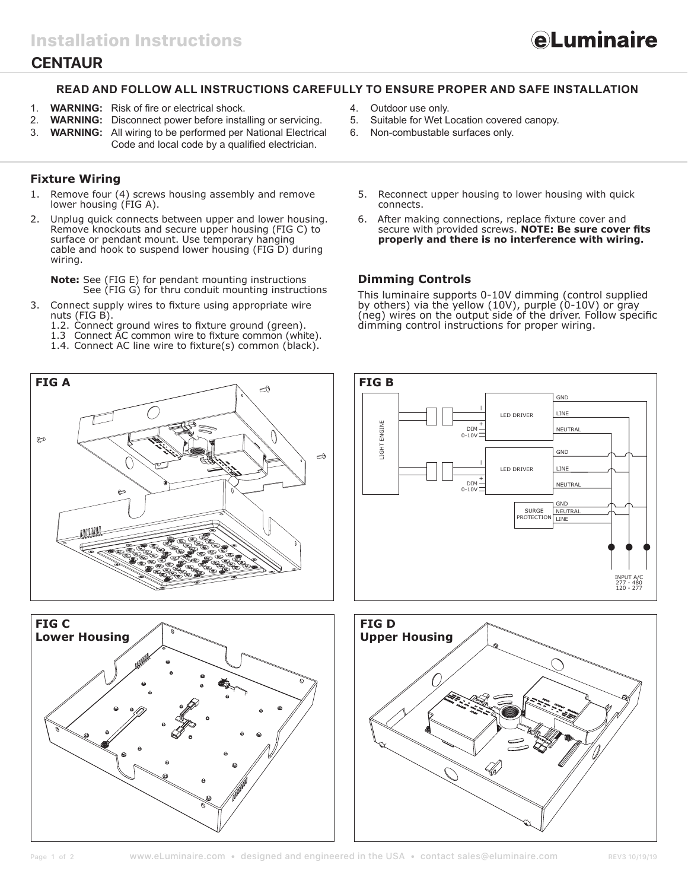# **CENTAUR**

### **READ AND FOLLOW ALL INSTRUCTIONS CAREFULLY TO ENSURE PROPER AND SAFE INSTALLATION**

- 1. **WARNING:** Risk of fire or electrical shock.
- 2. **WARNING:** Disconnect power before installing or servicing.<br>3. **WARNING:** All wiring to be performed per National Electrica
- **WARNING:** All wiring to be performed per National Electrical Code and local code by a qualified electrician.

## **Fixture Wiring**

- 1. Remove four (4) screws housing assembly and remove lower housing (FIG A).
- 2. Unplug quick connects between upper and lower housing. Remove knockouts and secure upper housing (FIG C) to surface or pendant mount. Use temporary hanging cable and hook to suspend lower housing (FIG D) during wiring.

**Note:** See (FIG E) for pendant mounting instructions See (FIG G) for thru conduit mounting instructions

- 3. Connect supply wires to fixture using appropriate wire nuts (FIG B).
	- 1.2. Connect ground wires to fixture ground (green).
	- 1.3 Connect AC common wire to fixture common (white).
	- 1.4. Connect AC line wire to fixture(s) common (black).





- 4. Outdoor use only.
- 5. Suitable for Wet Location covered canopy.
- 6. Non-combustable surfaces only.
	- 5. Reconnect upper housing to lower housing with quick connects.
	- 6. After making connections, replace fixture cover and secure with provided screws. **NOTE: Be sure cover fits properly and there is no interference with wiring.**

*<u>eLuminaire</u>* 

#### **Dimming Controls**

This luminaire supports 0-10V dimming (control supplied by others) via the yellow (10V), purple (0-10V) or gray (neg) wires on the output side of the driver. Follow specific dimming control instructions for proper wiring.